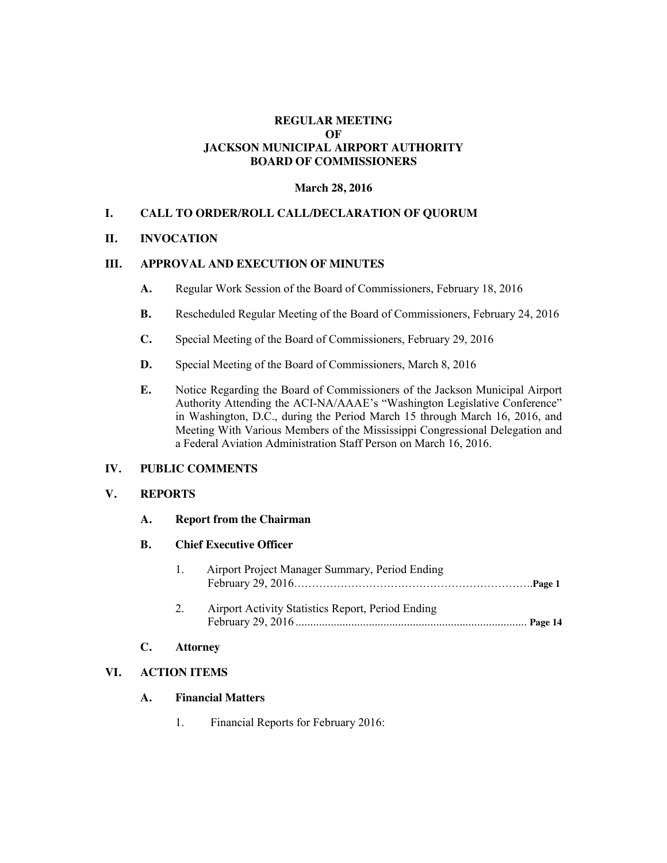#### **REGULAR MEETING OF JACKSON MUNICIPAL AIRPORT AUTHORITY BOARD OF COMMISSIONERS**

## **March 28, 2016**

## **I. CALL TO ORDER/ROLL CALL/DECLARATION OF QUORUM**

#### **II. INVOCATION**

# **III. APPROVAL AND EXECUTION OF MINUTES**

- **A.** Regular Work Session of the Board of Commissioners, February 18, 2016
- **B.** Rescheduled Regular Meeting of the Board of Commissioners, February 24, 2016
- **C.** Special Meeting of the Board of Commissioners, February 29, 2016
- **D.** Special Meeting of the Board of Commissioners, March 8, 2016
- **E.** Notice Regarding the Board of Commissioners of the Jackson Municipal Airport Authority Attending the ACI-NA/AAAE's "Washington Legislative Conference" in Washington, D.C., during the Period March 15 through March 16, 2016, and Meeting With Various Members of the Mississippi Congressional Delegation and a Federal Aviation Administration Staff Person on March 16, 2016.

#### **IV. PUBLIC COMMENTS**

#### **V. REPORTS**

## **A. Report from the Chairman**

## **B. Chief Executive Officer**

| Airport Project Manager Summary, Period Ending |
|------------------------------------------------|
|                                                |

2. Airport Activity Statistics Report, Period Ending February 29, 2016 ............................................................................... **Page 14**

# **C. Attorney**

# **VI. ACTION ITEMS**

# **A. Financial Matters**

1. Financial Reports for February 2016: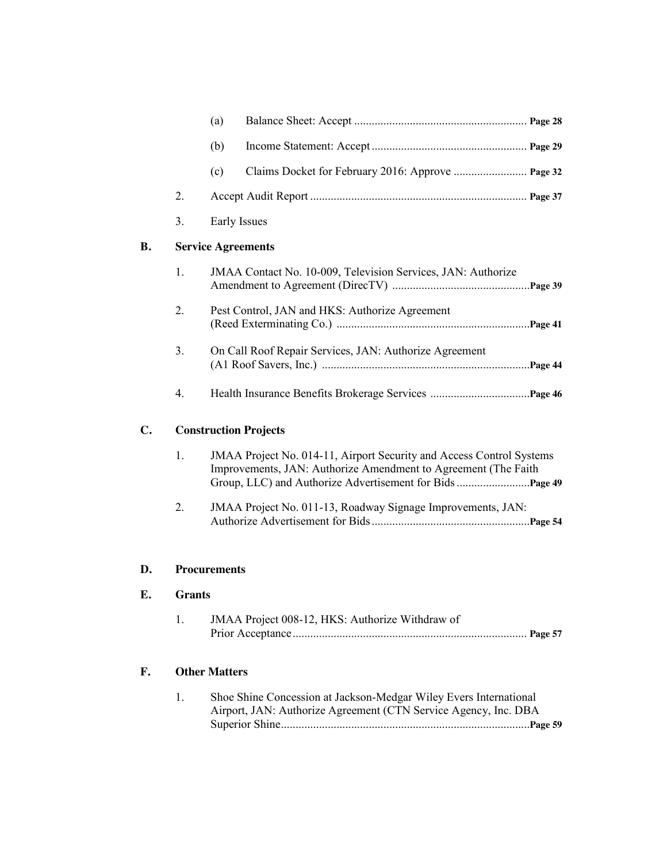|                |                              | (a)                                                                                                                                    |  |  |  |  |
|----------------|------------------------------|----------------------------------------------------------------------------------------------------------------------------------------|--|--|--|--|
|                |                              | (b)                                                                                                                                    |  |  |  |  |
|                |                              | (c)                                                                                                                                    |  |  |  |  |
|                | 2.                           |                                                                                                                                        |  |  |  |  |
|                | 3.                           | Early Issues                                                                                                                           |  |  |  |  |
| <b>B.</b>      | <b>Service Agreements</b>    |                                                                                                                                        |  |  |  |  |
|                | 1.                           | JMAA Contact No. 10-009, Television Services, JAN: Authorize                                                                           |  |  |  |  |
|                | 2.                           | Pest Control, JAN and HKS: Authorize Agreement                                                                                         |  |  |  |  |
|                | 3.                           | On Call Roof Repair Services, JAN: Authorize Agreement                                                                                 |  |  |  |  |
|                | 4.                           |                                                                                                                                        |  |  |  |  |
| $\mathbf{C}$ . | <b>Construction Projects</b> |                                                                                                                                        |  |  |  |  |
|                | 1.                           | JMAA Project No. 014-11, Airport Security and Access Control Systems<br>Improvements, JAN: Authorize Amendment to Agreement (The Faith |  |  |  |  |
|                | 2.                           | JMAA Project No. 011-13, Roadway Signage Improvements, JAN:                                                                            |  |  |  |  |
| D.             |                              | <b>Procurements</b>                                                                                                                    |  |  |  |  |
| Е.             | Grants                       |                                                                                                                                        |  |  |  |  |
|                | 1.                           | JMAA Project 008-12, HKS: Authorize Withdraw of                                                                                        |  |  |  |  |
| F.             |                              | <b>Other Matters</b>                                                                                                                   |  |  |  |  |
|                | 1.                           | Shoe Shine Concession at Jackson-Medgar Wiley Evers International<br>Airport, JAN: Authorize Agreement (CTN Service Agency, Inc. DBA   |  |  |  |  |